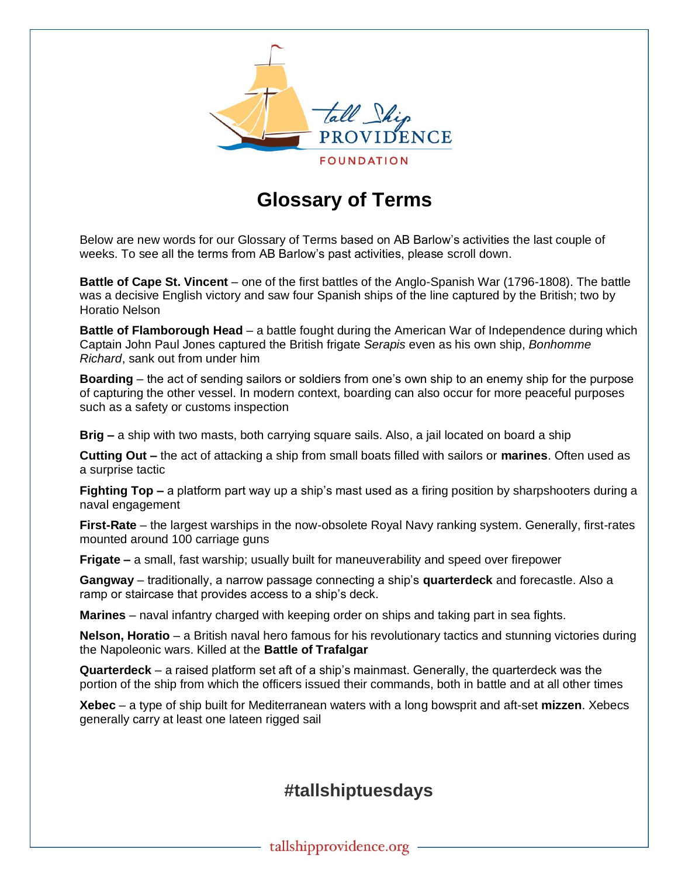

# **Glossary of Terms**

Below are new words for our Glossary of Terms based on AB Barlow's activities the last couple of weeks. To see all the terms from AB Barlow's past activities, please scroll down.

**Battle of Cape St. Vincent** – one of the first battles of the Anglo-Spanish War (1796-1808). The battle was a decisive English victory and saw four Spanish ships of the line captured by the British; two by Horatio Nelson

**Battle of Flamborough Head** – a battle fought during the American War of Independence during which Captain John Paul Jones captured the British frigate *Serapis* even as his own ship, *Bonhomme Richard*, sank out from under him

**Boarding** – the act of sending sailors or soldiers from one's own ship to an enemy ship for the purpose of capturing the other vessel. In modern context, boarding can also occur for more peaceful purposes such as a safety or customs inspection

**Brig –** a ship with two masts, both carrying square sails. Also, a jail located on board a ship

**Cutting Out –** the act of attacking a ship from small boats filled with sailors or **marines**. Often used as a surprise tactic

**Fighting Top –** a platform part way up a ship's mast used as a firing position by sharpshooters during a naval engagement

**First-Rate** – the largest warships in the now-obsolete Royal Navy ranking system. Generally, first-rates mounted around 100 carriage guns

**Frigate –** a small, fast warship; usually built for maneuverability and speed over firepower

**Gangway** – traditionally, a narrow passage connecting a ship's **quarterdeck** and forecastle. Also a ramp or staircase that provides access to a ship's deck.

**Marines** – naval infantry charged with keeping order on ships and taking part in sea fights.

**Nelson, Horatio** – a British naval hero famous for his revolutionary tactics and stunning victories during the Napoleonic wars. Killed at the **Battle of Trafalgar**

**Quarterdeck** – a raised platform set aft of a ship's mainmast. Generally, the quarterdeck was the portion of the ship from which the officers issued their commands, both in battle and at all other times

**Xebec** – a type of ship built for Mediterranean waters with a long bowsprit and aft-set **mizzen**. Xebecs generally carry at least one lateen rigged sail

## **#tallshiptuesdays**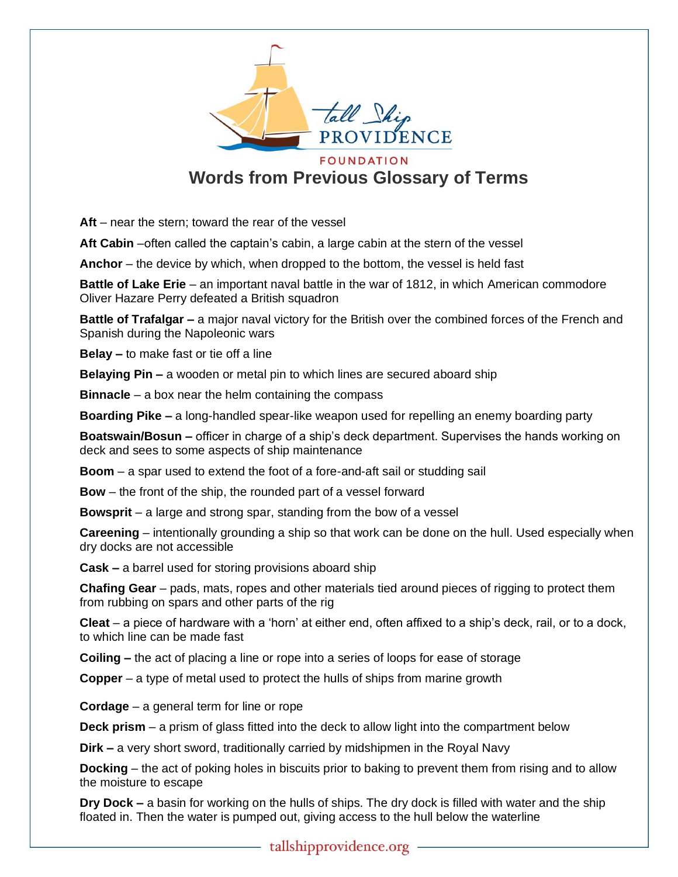

## **Words from Previous Glossary of Terms**

**Aft** – near the stern; toward the rear of the vessel

Aft Cabin –often called the captain's cabin, a large cabin at the stern of the vessel

**Anchor** – the device by which, when dropped to the bottom, the vessel is held fast

**Battle of Lake Erie** – an important naval battle in the war of 1812, in which American commodore Oliver Hazare Perry defeated a British squadron

**Battle of Trafalgar –** a major naval victory for the British over the combined forces of the French and Spanish during the Napoleonic wars

**Belay –** to make fast or tie off a line

**Belaying Pin –** a wooden or metal pin to which lines are secured aboard ship

**Binnacle** – a box near the helm containing the compass

**Boarding Pike –** a long-handled spear-like weapon used for repelling an enemy boarding party

**Boatswain/Bosun –** officer in charge of a ship's deck department. Supervises the hands working on deck and sees to some aspects of ship maintenance

**Boom** – a spar used to extend the foot of a fore-and-aft sail or studding sail

**Bow** – the front of the ship, the rounded part of a vessel forward

**Bowsprit** – a large and strong spar, standing from the bow of a vessel

**Careening** – intentionally grounding a ship so that work can be done on the hull. Used especially when dry docks are not accessible

**Cask –** a barrel used for storing provisions aboard ship

**Chafing Gear** – pads, mats, ropes and other materials tied around pieces of rigging to protect them from rubbing on spars and other parts of the rig

**Cleat** – a piece of hardware with a 'horn' at either end, often affixed to a ship's deck, rail, or to a dock, to which line can be made fast

**Coiling –** the act of placing a line or rope into a series of loops for ease of storage

**Copper** – a type of metal used to protect the hulls of ships from marine growth

**Cordage** – a general term for line or rope

**Deck prism** – a prism of glass fitted into the deck to allow light into the compartment below

**Dirk –** a very short sword, traditionally carried by midshipmen in the Royal Navy

**Docking** – the act of poking holes in biscuits prior to baking to prevent them from rising and to allow the moisture to escape

**Dry Dock –** a basin for working on the hulls of ships. The dry dock is filled with water and the ship floated in. Then the water is pumped out, giving access to the hull below the waterline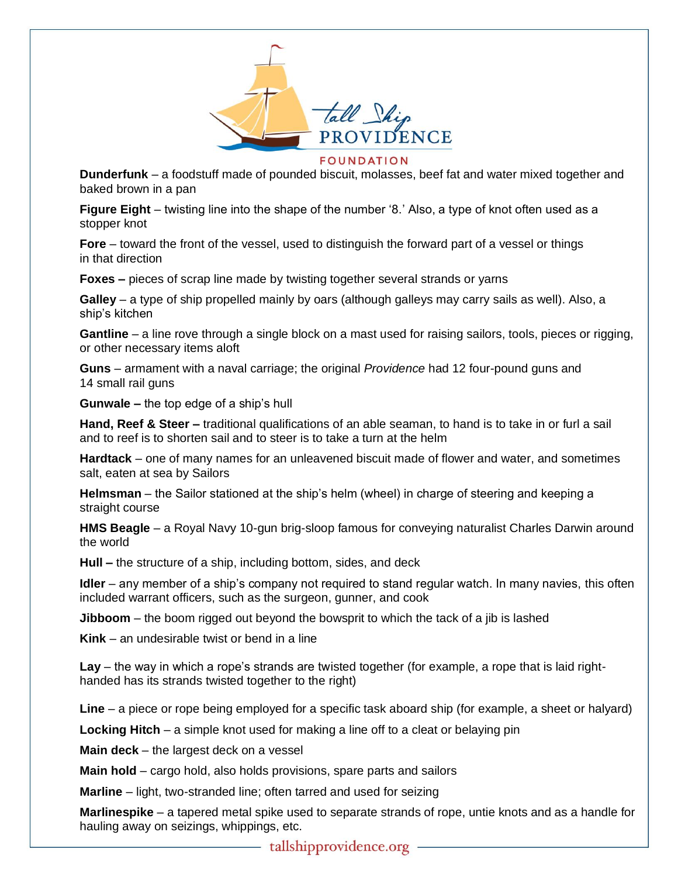

### **FOUNDATION**

**Dunderfunk** – a foodstuff made of pounded biscuit, molasses, beef fat and water mixed together and baked brown in a pan

**Figure Eight** – twisting line into the shape of the number '8.' Also, a type of knot often used as a stopper knot

**Fore** – toward the front of the vessel, used to distinguish the forward part of a vessel or things in that direction

**Foxes –** pieces of scrap line made by twisting together several strands or yarns

**Galley** – a type of ship propelled mainly by oars (although galleys may carry sails as well). Also, a ship's kitchen

**Gantline** – a line rove through a single block on a mast used for raising sailors, tools, pieces or rigging, or other necessary items aloft

**Guns** – armament with a naval carriage; the original *Providence* had 12 four-pound guns and 14 small rail guns

**Gunwale –** the top edge of a ship's hull

**Hand, Reef & Steer –** traditional qualifications of an able seaman, to hand is to take in or furl a sail and to reef is to shorten sail and to steer is to take a turn at the helm

**Hardtack** – one of many names for an unleavened biscuit made of flower and water, and sometimes salt, eaten at sea by Sailors

**Helmsman** – the Sailor stationed at the ship's helm (wheel) in charge of steering and keeping a straight course

**HMS Beagle** – a Royal Navy 10-gun brig-sloop famous for conveying naturalist Charles Darwin around the world

**Hull –** the structure of a ship, including bottom, sides, and deck

**Idler** – any member of a ship's company not required to stand regular watch. In many navies, this often included warrant officers, such as the surgeon, gunner, and cook

**Jibboom** – the boom rigged out beyond the bowsprit to which the tack of a jib is lashed

**Kink** – an undesirable twist or bend in a line

**Lay** – the way in which a rope's strands are twisted together (for example, a rope that is laid righthanded has its strands twisted together to the right)

**Line** – a piece or rope being employed for a specific task aboard ship (for example, a sheet or halyard)

**Locking Hitch** – a simple knot used for making a line off to a cleat or belaying pin

**Main deck** – the largest deck on a vessel

**Main hold** – cargo hold, also holds provisions, spare parts and sailors

**Marline** – light, two-stranded line; often tarred and used for seizing

**Marlinespike** – a tapered metal spike used to separate strands of rope, untie knots and as a handle for hauling away on seizings, whippings, etc.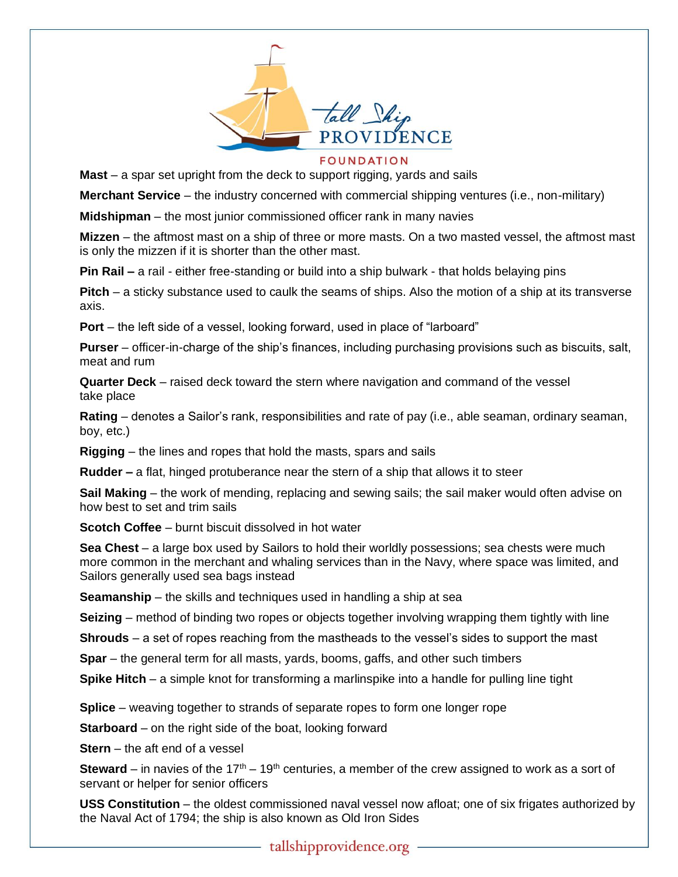

### **FOUNDATION**

**Mast** – a spar set upright from the deck to support rigging, yards and sails

**Merchant Service** – the industry concerned with commercial shipping ventures (i.e., non-military)

**Midshipman** – the most junior commissioned officer rank in many navies

**Mizzen** – the aftmost mast on a ship of three or more masts. On a two masted vessel, the aftmost mast is only the mizzen if it is shorter than the other mast.

**Pin Rail –** a rail - either free-standing or build into a ship bulwark - that holds belaying pins

**Pitch** – a sticky substance used to caulk the seams of ships. Also the motion of a ship at its transverse axis.

**Port** – the left side of a vessel, looking forward, used in place of "larboard"

**Purser** – officer-in-charge of the ship's finances, including purchasing provisions such as biscuits, salt, meat and rum

**Quarter Deck** – raised deck toward the stern where navigation and command of the vessel take place

**Rating** – denotes a Sailor's rank, responsibilities and rate of pay (i.e., able seaman, ordinary seaman, boy, etc.)

**Rigging** – the lines and ropes that hold the masts, spars and sails

**Rudder –** a flat, hinged protuberance near the stern of a ship that allows it to steer

**Sail Making** – the work of mending, replacing and sewing sails; the sail maker would often advise on how best to set and trim sails

**Scotch Coffee** – burnt biscuit dissolved in hot water

**Sea Chest** – a large box used by Sailors to hold their worldly possessions; sea chests were much more common in the merchant and whaling services than in the Navy, where space was limited, and Sailors generally used sea bags instead

**Seamanship** – the skills and techniques used in handling a ship at sea

**Seizing** – method of binding two ropes or objects together involving wrapping them tightly with line

**Shrouds** – a set of ropes reaching from the mastheads to the vessel's sides to support the mast

**Spar** – the general term for all masts, yards, booms, gaffs, and other such timbers

**Spike Hitch** – a simple knot for transforming a marlinspike into a handle for pulling line tight

**Splice** – weaving together to strands of separate ropes to form one longer rope

**Starboard** – on the right side of the boat, looking forward

**Stern** – the aft end of a vessel

**Steward** – in navies of the 17<sup>th</sup> – 19<sup>th</sup> centuries, a member of the crew assigned to work as a sort of servant or helper for senior officers

**USS Constitution** – the oldest commissioned naval vessel now afloat; one of six frigates authorized by the Naval Act of 1794; the ship is also known as Old Iron Sides